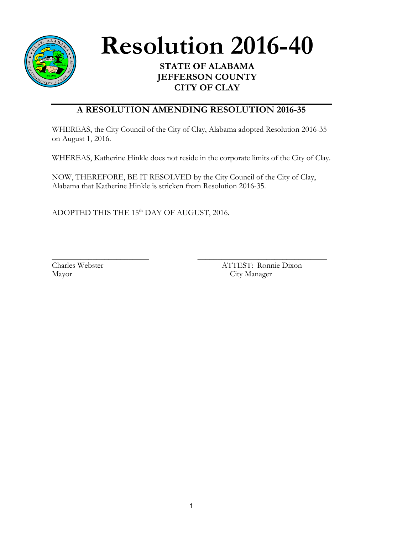

Resolution 2016-40

**JEFFERSON COUNTY CITY OF CLAY**

## **A RESOLUTION AMENDING RESOLUTION 2016-35**

WHEREAS, the City Council of the City of Clay, Alabama adopted Resolution 2016-35 on August 1, 2016.

WHEREAS, Katherine Hinkle does not reside in the corporate limits of the City of Clay.

NOW, THEREFORE, BE IT RESOLVED by the City Council of the City of Clay, Alabama that Katherine Hinkle is stricken from Resolution 2016-35.

ADOPTED THIS THE 15<sup>th</sup> DAY OF AUGUST, 2016.

\_\_\_\_\_\_\_\_\_\_\_\_\_\_\_\_\_\_\_\_\_\_\_\_ \_\_\_\_\_\_\_\_\_\_\_\_\_\_\_\_\_\_\_\_\_\_\_\_\_\_\_\_\_\_\_\_ Charles Webster ATTEST: Ronnie Dixon Mayor City Manager